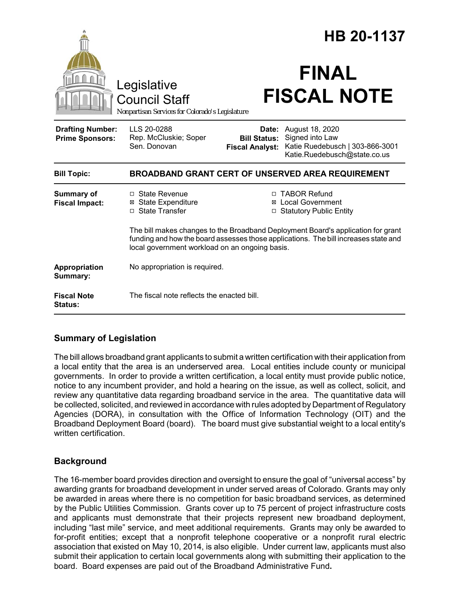|                                                   |                                                                                                                                                                                                                           |                                                        | HB 20-1137                                                                                            |  |
|---------------------------------------------------|---------------------------------------------------------------------------------------------------------------------------------------------------------------------------------------------------------------------------|--------------------------------------------------------|-------------------------------------------------------------------------------------------------------|--|
|                                                   | Legislative<br><b>Council Staff</b><br>Nonpartisan Services for Colorado's Legislature                                                                                                                                    |                                                        | <b>FINAL</b><br><b>FISCAL NOTE</b>                                                                    |  |
| <b>Drafting Number:</b><br><b>Prime Sponsors:</b> | LLS 20-0288<br>Rep. McCluskie; Soper<br>Sen. Donovan                                                                                                                                                                      | Date:<br><b>Bill Status:</b><br><b>Fiscal Analyst:</b> | August 18, 2020<br>Signed into Law<br>Katie Ruedebusch   303-866-3001<br>Katie.Ruedebusch@state.co.us |  |
| <b>Bill Topic:</b>                                | <b>BROADBAND GRANT CERT OF UNSERVED AREA REQUIREMENT</b>                                                                                                                                                                  |                                                        |                                                                                                       |  |
| <b>Summary of</b><br><b>Fiscal Impact:</b>        | $\Box$ State Revenue<br><b>State Expenditure</b><br>⊠<br>□ State Transfer                                                                                                                                                 | ⊠                                                      | □ TABOR Refund<br><b>Local Government</b><br>□ Statutory Public Entity                                |  |
|                                                   | The bill makes changes to the Broadband Deployment Board's application for grant<br>funding and how the board assesses those applications. The bill increases state and<br>local government workload on an ongoing basis. |                                                        |                                                                                                       |  |
| Appropriation<br>Summary:                         | No appropriation is required.                                                                                                                                                                                             |                                                        |                                                                                                       |  |
| <b>Fiscal Note</b><br><b>Status:</b>              | The fiscal note reflects the enacted bill.                                                                                                                                                                                |                                                        |                                                                                                       |  |

### **Summary of Legislation**

The bill allows broadband grant applicants to submit a written certification with their application from a local entity that the area is an underserved area. Local entities include county or municipal governments. In order to provide a written certification, a local entity must provide public notice, notice to any incumbent provider, and hold a hearing on the issue, as well as collect, solicit, and review any quantitative data regarding broadband service in the area. The quantitative data will be collected, solicited, and reviewed in accordance with rules adopted by Department of Regulatory Agencies (DORA), in consultation with the Office of Information Technology (OIT) and the Broadband Deployment Board (board). The board must give substantial weight to a local entity's written certification.

## **Background**

The 16-member board provides direction and oversight to ensure the goal of "universal access" by awarding grants for broadband development in under served areas of Colorado. Grants may only be awarded in areas where there is no competition for basic broadband services, as determined by the Public Utilities Commission. Grants cover up to 75 percent of project infrastructure costs and applicants must demonstrate that their projects represent new broadband deployment, including "last mile" service, and meet additional requirements. Grants may only be awarded to for-profit entities; except that a nonprofit telephone cooperative or a nonprofit rural electric association that existed on May 10, 2014, is also eligible. Under current law, applicants must also submit their application to certain local governments along with submitting their application to the board. Board expenses are paid out of the Broadband Administrative Fund**.**